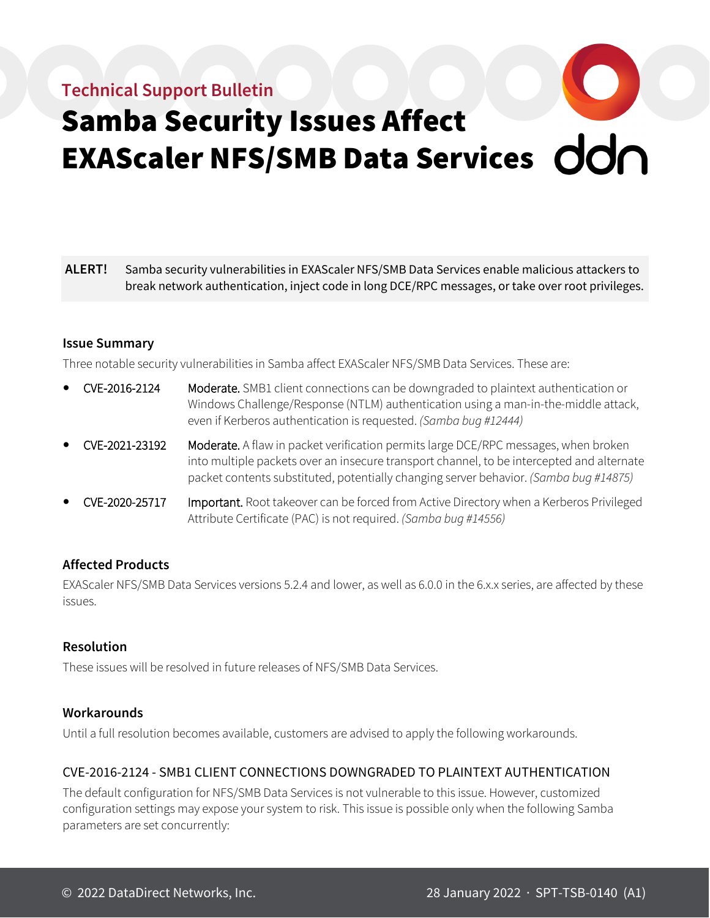# **Technical Support Bulletin**



# Samba Security Issues Affect EXAScaler NFS/SMB Data Services

**ALERT!** Samba security vulnerabilities in EXAScaler NFS/SMB Data Services enable malicious attackers to break network authentication, inject code in long DCE/RPC messages, or take over root privileges.

# **Issue Summary**

Three notable security vulnerabilities in Samba affect EXAScaler NFS/SMB Data Services. These are:

- CVE-2016-2124 Moderate. SMB1 client connections can be downgraded to plaintext authentication or Windows Challenge/Response (NTLM) authentication using a man-in-the-middle attack, even if Kerberos authentication is requested. *(Samba bug #12444)*
- CVE-2021-23192 Moderate. A flaw in packet verification permits large DCE/RPC messages, when broken into multiple packets over an insecure transport channel, to be intercepted and alternate packet contents substituted, potentially changing server behavior. *(Samba bug #14875)*
- CVE-2020-25717 Important. Root takeover can be forced from Active Directory when a Kerberos Privileged Attribute Certificate (PAC) is not required. *(Samba bug #14556)*

# **Affected Products**

EXAScaler NFS/SMB Data Services versions 5.2.4 and lower, as well as 6.0.0 in the 6.x.x series, are affected by these issues.

# **Resolution**

These issues will be resolved in future releases of NFS/SMB Data Services.

# **Workarounds**

Until a full resolution becomes available, customers are advised to apply the following workarounds.

# CVE-2016-2124 - SMB1 CLIENT CONNECTIONS DOWNGRADED TO PLAINTEXT AUTHENTICATION

The default configuration for NFS/SMB Data Services is not vulnerable to this issue. However, customized configuration settings may expose your system to risk. This issue is possible only when the following Samba parameters are set concurrently: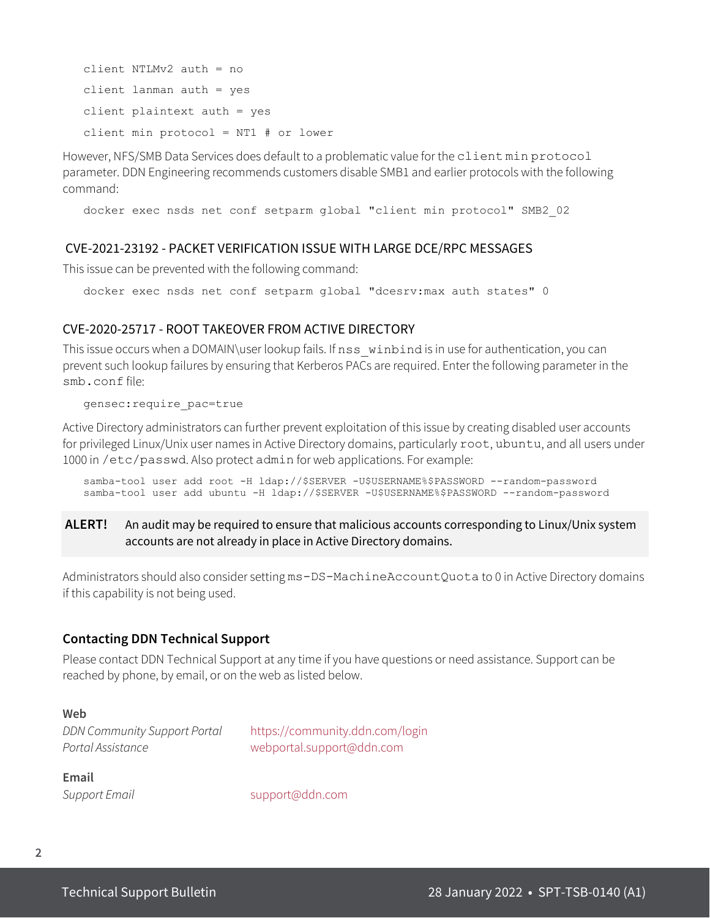client NTLMv2 auth = no client lanman auth = yes client plaintext auth = yes client min protocol = NT1 # or lower

However, NFS/SMB Data Services does default to a problematic value for the client min protocol parameter. DDN Engineering recommends customers disable SMB1 and earlier protocols with the following command:

docker exec nsds net conf setparm global "client min protocol" SMB2\_02

#### CVE-2021-23192 - PACKET VERIFICATION ISSUE WITH LARGE DCE/RPC MESSAGES

This issue can be prevented with the following command:

docker exec nsds net conf setparm global "dcesrv:max auth states" 0

#### CVE-2020-25717 - ROOT TAKEOVER FROM ACTIVE DIRECTORY

This issue occurs when a DOMAIN\user lookup fails. If nss\_winbind is in use for authentication, you can prevent such lookup failures by ensuring that Kerberos PACs are required. Enter the following parameter in the smb.conf file:

gensec:require\_pac=true

Active Directory administrators can further prevent exploitation of this issue by creating disabled user accounts for privileged Linux/Unix user names in Active Directory domains, particularly root, ubuntu, and all users under 1000 in /etc/passwd. Also protect admin for web applications. For example:

samba-tool user add root -H ldap://\$SERVER -U\$USERNAME%\$PASSWORD --random-password samba-tool user add ubuntu -H ldap://\$SERVER -U\$USERNAME%\$PASSWORD --random-password

# **ALERT!** An audit may be required to ensure that malicious accounts corresponding to Linux/Unix system accounts are not already in place in Active Directory domains.

Administrators should also consider setting ms-DS-MachineAccountQuota to 0 in Active Directory domains if this capability is not being used.

#### **Contacting DDN Technical Support**

Please contact DDN Technical Support at any time if you have questions or need assistance. Support can be reached by phone, by email, or on the web as listed below.

#### **Web**

*DDN Community Support Portal* <https://community.ddn.com/login> *Portal Assistance* [webportal.support@ddn.com](mailto:webportal.support@ddn.com)

**Email** 

*Support Email* [support@ddn.com](mailto:support@ddn.com)